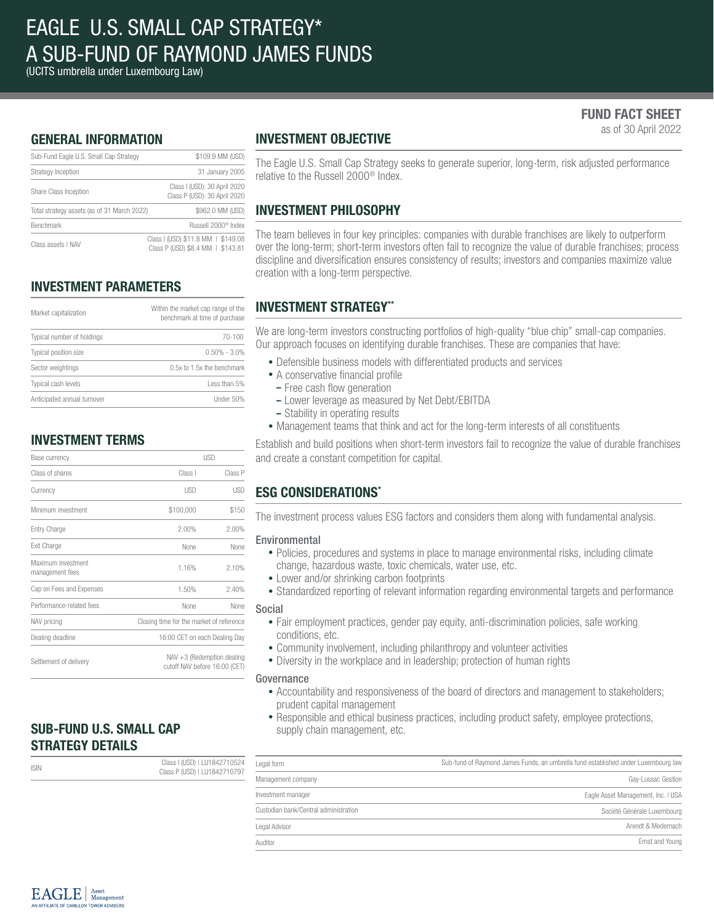(UCITS umbrella under Luxembourg Law)

### FUND FACT SHEET as of 30 April 2022

GENERAL INFORMATION

| Sub-Fund Eagle U.S. Small Cap Strategy      | \$109.9 MM (USD)                                                        |  |  |
|---------------------------------------------|-------------------------------------------------------------------------|--|--|
| Strategy Inception                          | 31 January 2005                                                         |  |  |
| Share Class Inception                       | Class I (USD): 30 April 2020<br>Class P (USD): 30 April 2020            |  |  |
| Total strategy assets (as of 31 March 2022) | \$962.0 MM (USD)                                                        |  |  |
| <b>Benchmark</b>                            | Russell 2000 <sup>®</sup> Index                                         |  |  |
| Class assets I NAV                          | Class I (USD) \$11.8 MM   \$149.08<br>Class P (USD) \$8.4 MM   \$143.81 |  |  |

## INVESTMENT PARAMETERS

| Market capitalization       | Within the market cap range of the<br>benchmark at time of purchase |  |  |
|-----------------------------|---------------------------------------------------------------------|--|--|
| Typical number of holdings  | $70 - 100$                                                          |  |  |
| Typical position size       | $0.50\% - 3.0\%$                                                    |  |  |
| Sector weightings           | 0.5x to 1.5x the benchmark                                          |  |  |
| Typical cash levels         | Less than 5%                                                        |  |  |
| Anticipated annual turnover | Under 50%                                                           |  |  |

### INVESTMENT TERMS

| Base currency                         | <b>USD</b>                                                     |            |  |
|---------------------------------------|----------------------------------------------------------------|------------|--|
| Class of shares                       | Class I                                                        | Class P    |  |
| Currency                              | <b>USD</b>                                                     | <b>USD</b> |  |
| Minimum investment                    | \$100,000                                                      | \$150      |  |
| Entry Charge                          | 2.00%                                                          | 2.00%      |  |
| Exit Charge                           | None                                                           | None       |  |
| Maximum investment<br>management fees | 1.16%                                                          | 2.10%      |  |
| Cap on Fees and Expenses              | 1.50%                                                          | 2.40%      |  |
| Performance-related fees              | None                                                           | None       |  |
| NAV pricing                           | Closing time for the market of reference                       |            |  |
| Dealing deadline                      | 16:00 CET on each Dealing Day                                  |            |  |
| Settlement of delivery                | $NAV + 3$ (Redemption dealing<br>cutoff NAV before 16:00 (CET) |            |  |

### SUB-FUND U.S. SMALL CAP STRATEGY DETAILS

| <b>ISIN</b> | Class I (USD)   LU1842710524<br>Class P (USD)   LU1842710797 | Legal f |
|-------------|--------------------------------------------------------------|---------|
|             |                                                              | Manag   |

## INVESTMENT OBJECTIVE

The Eagle U.S. Small Cap Strategy seeks to generate superior, long-term, risk adjusted performance relative to the Russell 2000® Index.

## INVESTMENT PHILOSOPHY

The team believes in four key principles: companies with durable franchises are likely to outperform over the long-term; short-term investors often fail to recognize the value of durable franchises; process discipline and diversification ensures consistency of results; investors and companies maximize value creation with a long-term perspective.

## INVESTMENT STRATEGY\*\*

We are long-term investors constructing portfolios of high-quality "blue chip" small-cap companies. Our approach focuses on identifying durable franchises. These are companies that have:

- Defensible business models with differentiated products and services
- A conservative financial profile
- Free cash flow generation
- Lower leverage as measured by Net Debt/EBITDA
- Stability in operating results
- Management teams that think and act for the long-term interests of all constituents

Establish and build positions when short-term investors fail to recognize the value of durable franchises and create a constant competition for capital.

### ESG CONSIDERATIONS\*

The investment process values ESG factors and considers them along with fundamental analysis.

### Environmental

- Policies, procedures and systems in place to manage environmental risks, including climate change, hazardous waste, toxic chemicals, water use, etc.
- Lower and/or shrinking carbon footprints
- Standardized reporting of relevant information regarding environmental targets and performance

#### Social

- Fair employment practices, gender pay equity, anti-discrimination policies, safe working conditions, etc.
- Community involvement, including philanthropy and volunteer activities
- Diversity in the workplace and in leadership; protection of human rights

#### Governance

- Accountability and responsiveness of the board of directors and management to stakeholders; prudent capital management
- Responsible and ethical business practices, including product safety, employee protections, supply chain management, etc.

| Legal form                            | Sub-fund of Raymond James Funds, an umbrella fund established under Luxembourg law |
|---------------------------------------|------------------------------------------------------------------------------------|
| Management company                    | Gay-Lussac Gestion                                                                 |
| Investment manager                    | Eagle Asset Management, Inc. I USA                                                 |
| Custodian bank/Central administration | Société Générale Luxembourg                                                        |
| Legal Advisor                         | Arendt & Medernach                                                                 |
| Auditor                               | Ernst and Young                                                                    |

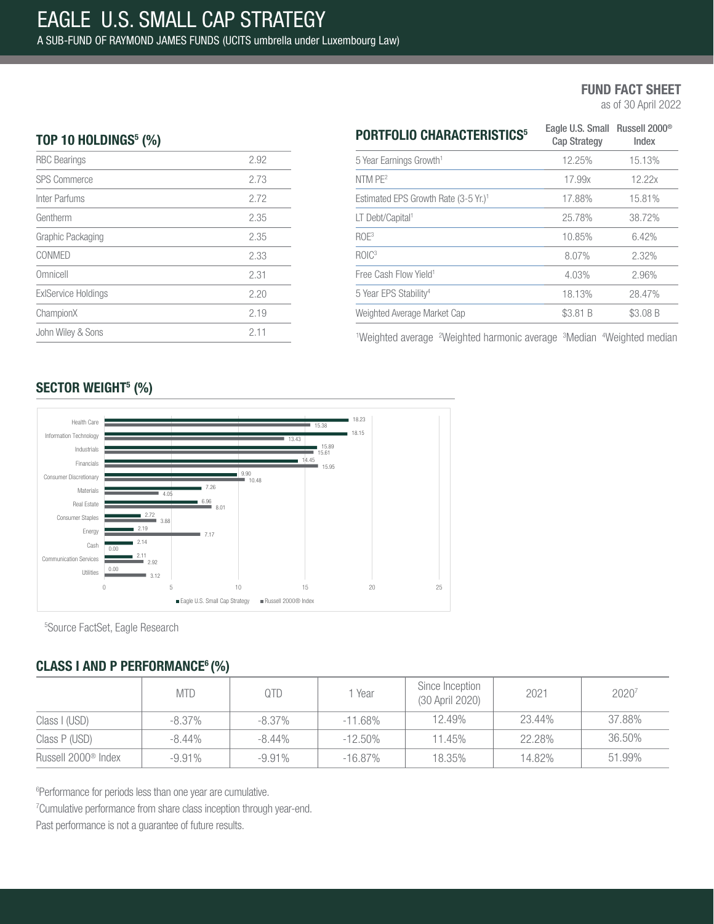as of 30 April 2022

### TOP 10 HOLDINGS $5$  (%)

| <b>RBC Bearings</b>        | 2.92 |
|----------------------------|------|
| <b>SPS Commerce</b>        | 2.73 |
| Inter Parfums              | 2.72 |
| Gentherm                   | 2.35 |
| Graphic Packaging          | 2.35 |
| CONMED                     | 2.33 |
| Omnicell                   | 2.31 |
| <b>ExIService Holdings</b> | 2.20 |
| ChampionX                  | 2.19 |
| John Wiley & Sons          | 2.11 |
|                            |      |

| <b>PORTFOLIO CHARACTERISTICS<sup>5</sup></b>     | Eagle U.S. Small Russell 2000 <sup>®</sup><br><b>Cap Strategy</b> | Index    |  |
|--------------------------------------------------|-------------------------------------------------------------------|----------|--|
| 5 Year Earnings Growth <sup>1</sup>              | 12.25%                                                            | 15.13%   |  |
| NTM PE <sup>2</sup>                              | 17.99x                                                            | 12.22x   |  |
| Estimated EPS Growth Rate (3-5 Yr.) <sup>1</sup> | 17.88%                                                            | 15.81%   |  |
| LT Debt/Capital <sup>1</sup>                     | 25.78%                                                            | 38.72%   |  |
| ROE <sup>3</sup>                                 | 10.85%                                                            | 6.42%    |  |
| ROIC <sup>3</sup>                                | 8.07%                                                             | 2.32%    |  |
| Free Cash Flow Yield <sup>1</sup>                | 4.03%                                                             | 2.96%    |  |
| 5 Year EPS Stability <sup>4</sup>                | 18.13%                                                            | 28.47%   |  |
| Weighted Average Market Cap                      | \$3.81 B                                                          | \$3.08 B |  |

<sup>1</sup>Weighted average <sup>2</sup>Weighted harmonic average <sup>3</sup>Median <sup>4</sup>Weighted median

## SECTOR WEIGHT<sup>5</sup> (%)



5 Source FactSet, Eagle Research

## CLASS I AND P PERFORMANCE<sup>6</sup> (%)

|                                 | <b>MTD</b> | QTD       | 1 Year     | Since Inception<br>(30 April 2020) | 2021   | 20207  |
|---------------------------------|------------|-----------|------------|------------------------------------|--------|--------|
| Class I (USD)                   | $-8.37\%$  | $-8.37\%$ | $-11.68\%$ | 12.49%                             | 23.44% | 37.88% |
| Class P (USD)                   | $-8.44\%$  | $-8.44\%$ | $-12.50\%$ | 11.45%                             | 22.28% | 36.50% |
| Russell 2000 <sup>®</sup> Index | $-9.91\%$  | $-9.91\%$ | $-16.87\%$ | 18.35%                             | 14.82% | 51.99% |

6 Performance for periods less than one year are cumulative.

<sup>7</sup> Cumulative performance from share class inception through year-end.

Past performance is not a guarantee of future results.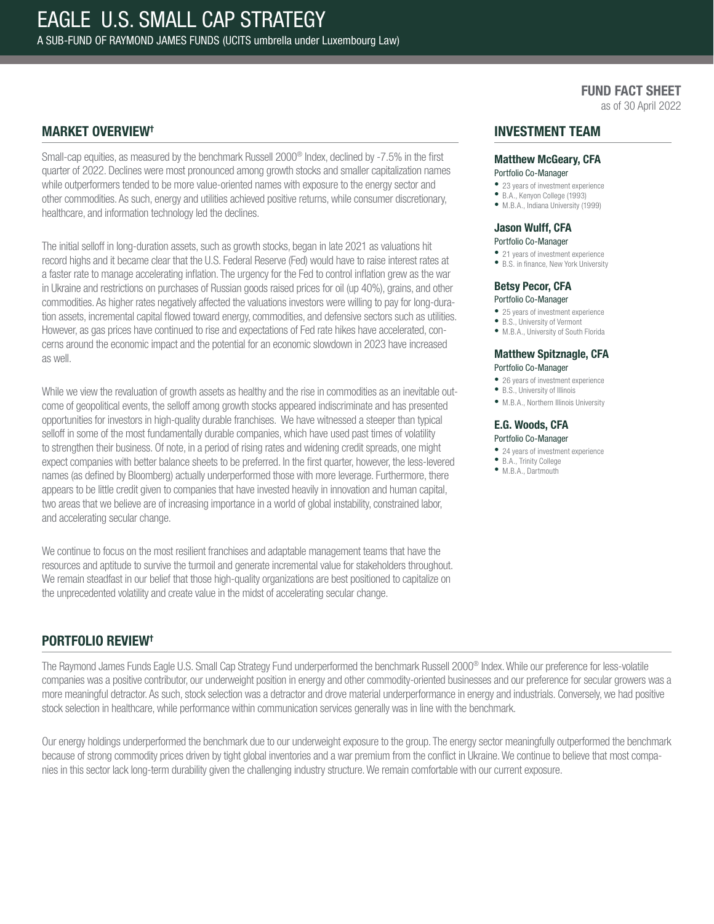as of 30 April 2022

### MARKET OVERVIEW†

Small-cap equities, as measured by the benchmark Russell 2000® Index, declined by -7.5% in the first quarter of 2022. Declines were most pronounced among growth stocks and smaller capitalization names while outperformers tended to be more value-oriented names with exposure to the energy sector and other commodities. As such, energy and utilities achieved positive returns, while consumer discretionary, healthcare, and information technology led the declines.

The initial selloff in long-duration assets, such as growth stocks, began in late 2021 as valuations hit record highs and it became clear that the U.S. Federal Reserve (Fed) would have to raise interest rates at a faster rate to manage accelerating inflation. The urgency for the Fed to control inflation grew as the war in Ukraine and restrictions on purchases of Russian goods raised prices for oil (up 40%), grains, and other commodities. As higher rates negatively affected the valuations investors were willing to pay for long-duration assets, incremental capital flowed toward energy, commodities, and defensive sectors such as utilities. However, as gas prices have continued to rise and expectations of Fed rate hikes have accelerated, concerns around the economic impact and the potential for an economic slowdown in 2023 have increased as well.

While we view the revaluation of growth assets as healthy and the rise in commodities as an inevitable outcome of geopolitical events, the selloff among growth stocks appeared indiscriminate and has presented opportunities for investors in high-quality durable franchises. We have witnessed a steeper than typical selloff in some of the most fundamentally durable companies, which have used past times of volatility to strengthen their business. Of note, in a period of rising rates and widening credit spreads, one might expect companies with better balance sheets to be preferred. In the first quarter, however, the less-levered names (as defined by Bloomberg) actually underperformed those with more leverage. Furthermore, there appears to be little credit given to companies that have invested heavily in innovation and human capital, two areas that we believe are of increasing importance in a world of global instability, constrained labor, and accelerating secular change.

We continue to focus on the most resilient franchises and adaptable management teams that have the resources and aptitude to survive the turmoil and generate incremental value for stakeholders throughout. We remain steadfast in our belief that those high-quality organizations are best positioned to capitalize on the unprecedented volatility and create value in the midst of accelerating secular change.

### INVESTMENT TEAM

## Matthew McGeary, CFA

### Portfolio Co-Manager

- 23 years of investment experience
- B.A., Kenyon College (1993) • M.B.A., Indiana University (1999)
- 

#### Jason Wulff, CFA

#### Portfolio Co-Manager

• 21 years of investment experience

• B.S. in finance, New York University

## Betsy Pecor, CFA

- Portfolio Co-Manager
- 25 years of investment experience
- B.S., University of Vermont • M.B.A., University of South Florida

#### Matthew Spitznagle, CFA Portfolio Co-Manager

- 26 years of investment experience
- B.S., University of Illinois
- M.B.A., Northern Illinois University

#### E.G. Woods, CFA Portfolio Co-Manager

- 24 years of investment experience
- B.A., Trinity College
- M.B.A., Dartmouth

### PORTFOLIO REVIEW†

The Raymond James Funds Eagle U.S. Small Cap Strategy Fund underperformed the benchmark Russell 2000® Index. While our preference for less-volatile companies was a positive contributor, our underweight position in energy and other commodity-oriented businesses and our preference for secular growers was a more meaningful detractor. As such, stock selection was a detractor and drove material underperformance in energy and industrials. Conversely, we had positive stock selection in healthcare, while performance within communication services generally was in line with the benchmark.

Our energy holdings underperformed the benchmark due to our underweight exposure to the group. The energy sector meaningfully outperformed the benchmark because of strong commodity prices driven by tight global inventories and a war premium from the conflict in Ukraine. We continue to believe that most companies in this sector lack long-term durability given the challenging industry structure. We remain comfortable with our current exposure.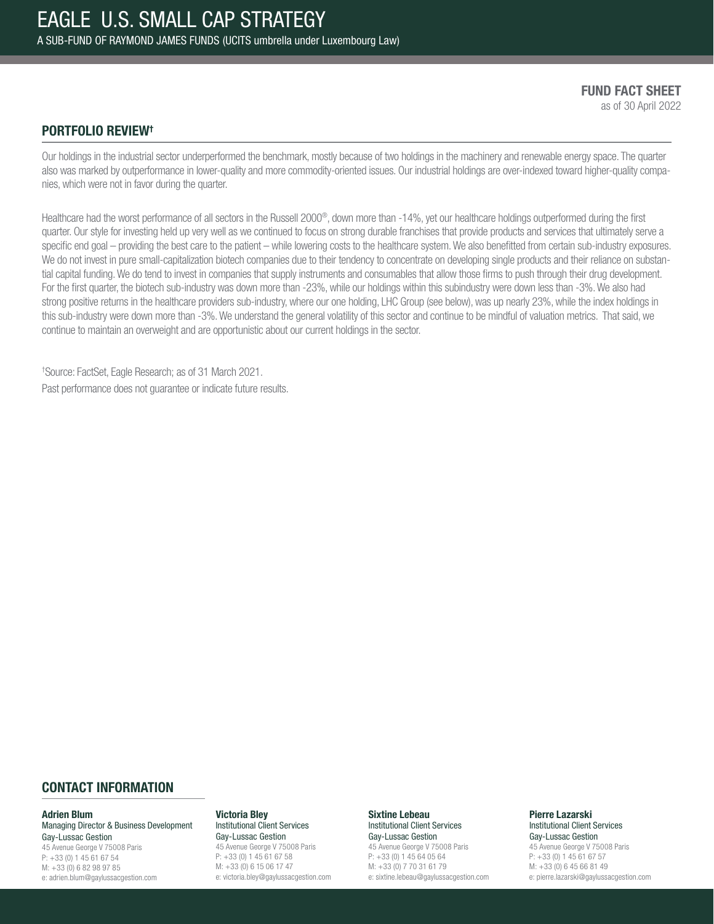FUND FACT SHEET as of 30 April 2022

### PORTFOLIO REVIEW†

Our holdings in the industrial sector underperformed the benchmark, mostly because of two holdings in the machinery and renewable energy space. The quarter also was marked by outperformance in lower-quality and more commodity-oriented issues. Our industrial holdings are over-indexed toward higher-quality companies, which were not in favor during the quarter.

Healthcare had the worst performance of all sectors in the Russell 2000®, down more than -14%, yet our healthcare holdings outperformed during the first quarter. Our style for investing held up very well as we continued to focus on strong durable franchises that provide products and services that ultimately serve a specific end goal – providing the best care to the patient – while lowering costs to the healthcare system. We also benefitted from certain sub-industry exposures. We do not invest in pure small-capitalization biotech companies due to their tendency to concentrate on developing single products and their reliance on substantial capital funding. We do tend to invest in companies that supply instruments and consumables that allow those firms to push through their drug development. For the first quarter, the biotech sub-industry was down more than -23%, while our holdings within this subindustry were down less than -3%. We also had strong positive returns in the healthcare providers sub-industry, where our one holding, LHC Group (see below), was up nearly 23%, while the index holdings in this sub-industry were down more than -3%. We understand the general volatility of this sector and continue to be mindful of valuation metrics. That said, we continue to maintain an overweight and are opportunistic about our current holdings in the sector.

† Source: FactSet, Eagle Research; as of 31 March 2021. Past performance does not guarantee or indicate future results.

### CONTACT INFORMATION

#### Adrien Blum

Managing Director & Business Development Gay-Lussac Gestion 45 Avenue George V 75008 Paris P: +33 (0) 1 45 61 67 54 M: +33 (0) 6 82 98 97 85 e: adrien.blum@gaylussacgestion.com

#### Victoria Bley

Institutional Client Services Gay-Lussac Gestion 45 Avenue George V 75008 Paris P: +33 (0) 1 45 61 67 58 M: +33 (0) 6 15 06 17 47 e: victoria.bley@gaylussacgestion.com

#### Sixtine Lebeau Institutional Client Services

Gay-Lussac Gestion 45 Avenue George V 75008 Paris P: +33 (0) 1 45 64 05 64 M: +33 (0) 7 70 31 61 79 e: sixtine.lebeau@gaylussacgestion.com

#### Pierre Lazarski Institutional Client Services Gay-Lussac Gestion

45 Avenue George V 75008 Paris P: +33 (0) 1 45 61 67 57 M: +33 (0) 6 45 66 81 49 e: pierre.lazarski@gaylussacgestion.com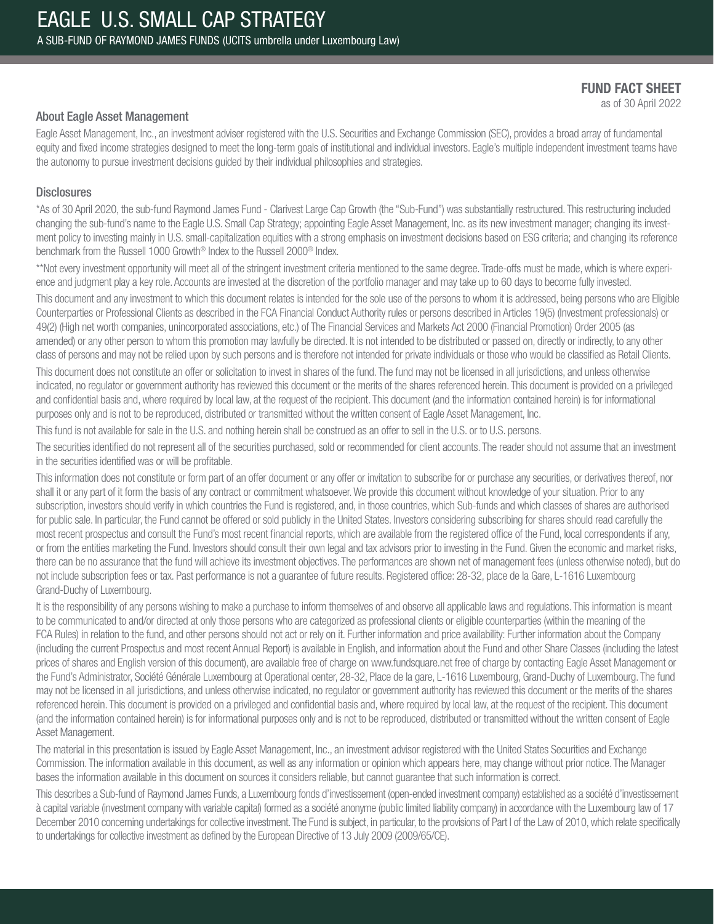as of 30 April 2022

### About Eagle Asset Management

Eagle Asset Management, Inc., an investment adviser registered with the U.S. Securities and Exchange Commission (SEC), provides a broad array of fundamental equity and fixed income strategies designed to meet the long-term goals of institutional and individual investors. Eagle's multiple independent investment teams have the autonomy to pursue investment decisions guided by their individual philosophies and strategies.

### **Disclosures**

\*As of 30 April 2020, the sub-fund Raymond James Fund - Clarivest Large Cap Growth (the "Sub-Fund") was substantially restructured. This restructuring included changing the sub-fund's name to the Eagle U.S. Small Cap Strategy; appointing Eagle Asset Management, Inc. as its new investment manager; changing its investment policy to investing mainly in U.S. small-capitalization equities with a strong emphasis on investment decisions based on ESG criteria; and changing its reference benchmark from the Russell 1000 Growth® Index to the Russell 2000® Index.

\*\*Not every investment opportunity will meet all of the stringent investment criteria mentioned to the same degree. Trade-offs must be made, which is where experience and judgment play a key role. Accounts are invested at the discretion of the portfolio manager and may take up to 60 days to become fully invested.

This document and any investment to which this document relates is intended for the sole use of the persons to whom it is addressed, being persons who are Eligible Counterparties or Professional Clients as described in the FCA Financial Conduct Authority rules or persons described in Articles 19(5) (Investment professionals) or 49(2) (High net worth companies, unincorporated associations, etc.) of The Financial Services and Markets Act 2000 (Financial Promotion) Order 2005 (as amended) or any other person to whom this promotion may lawfully be directed. It is not intended to be distributed or passed on, directly or indirectly, to any other class of persons and may not be relied upon by such persons and is therefore not intended for private individuals or those who would be classified as Retail Clients.

This document does not constitute an offer or solicitation to invest in shares of the fund. The fund may not be licensed in all jurisdictions, and unless otherwise indicated, no regulator or government authority has reviewed this document or the merits of the shares referenced herein. This document is provided on a privileged and confidential basis and, where required by local law, at the request of the recipient. This document (and the information contained herein) is for informational purposes only and is not to be reproduced, distributed or transmitted without the written consent of Eagle Asset Management, Inc.

This fund is not available for sale in the U.S. and nothing herein shall be construed as an offer to sell in the U.S. or to U.S. persons.

The securities identified do not represent all of the securities purchased, sold or recommended for client accounts. The reader should not assume that an investment in the securities identified was or will be profitable.

This information does not constitute or form part of an offer document or any offer or invitation to subscribe for or purchase any securities, or derivatives thereof, nor shall it or any part of it form the basis of any contract or commitment whatsoever. We provide this document without knowledge of your situation. Prior to any subscription, investors should verify in which countries the Fund is registered, and, in those countries, which Sub-funds and which classes of shares are authorised for public sale. In particular, the Fund cannot be offered or sold publicly in the United States. Investors considering subscribing for shares should read carefully the most recent prospectus and consult the Fund's most recent financial reports, which are available from the registered office of the Fund, local correspondents if any, or from the entities marketing the Fund. Investors should consult their own legal and tax advisors prior to investing in the Fund. Given the economic and market risks, there can be no assurance that the fund will achieve its investment objectives. The performances are shown net of management fees (unless otherwise noted), but do not include subscription fees or tax. Past performance is not a guarantee of future results. Registered office: 28-32, place de la Gare, L-1616 Luxembourg Grand-Duchy of Luxembourg.

It is the responsibility of any persons wishing to make a purchase to inform themselves of and observe all applicable laws and regulations. This information is meant to be communicated to and/or directed at only those persons who are categorized as professional clients or eligible counterparties (within the meaning of the FCA Rules) in relation to the fund, and other persons should not act or rely on it. Further information and price availability: Further information about the Company (including the current Prospectus and most recent Annual Report) is available in English, and information about the Fund and other Share Classes (including the latest prices of shares and English version of this document), are available free of charge on www.fundsquare.net free of charge by contacting Eagle Asset Management or the Fund's Administrator, Société Générale Luxembourg at Operational center, 28-32, Place de la gare, L-1616 Luxembourg, Grand-Duchy of Luxembourg. The fund may not be licensed in all jurisdictions, and unless otherwise indicated, no regulator or government authority has reviewed this document or the merits of the shares referenced herein. This document is provided on a privileged and confidential basis and, where required by local law, at the request of the recipient. This document (and the information contained herein) is for informational purposes only and is not to be reproduced, distributed or transmitted without the written consent of Eagle Asset Management.

The material in this presentation is issued by Eagle Asset Management, Inc., an investment advisor registered with the United States Securities and Exchange Commission. The information available in this document, as well as any information or opinion which appears here, may change without prior notice. The Manager bases the information available in this document on sources it considers reliable, but cannot guarantee that such information is correct.

This describes a Sub-fund of Raymond James Funds, a Luxembourg fonds d'investissement (open-ended investment company) established as a société d'investissement à capital variable (investment company with variable capital) formed as a société anonyme (public limited liability company) in accordance with the Luxembourg law of 17 December 2010 concerning undertakings for collective investment. The Fund is subject, in particular, to the provisions of Part I of the Law of 2010, which relate specifically to undertakings for collective investment as defined by the European Directive of 13 July 2009 (2009/65/CE).